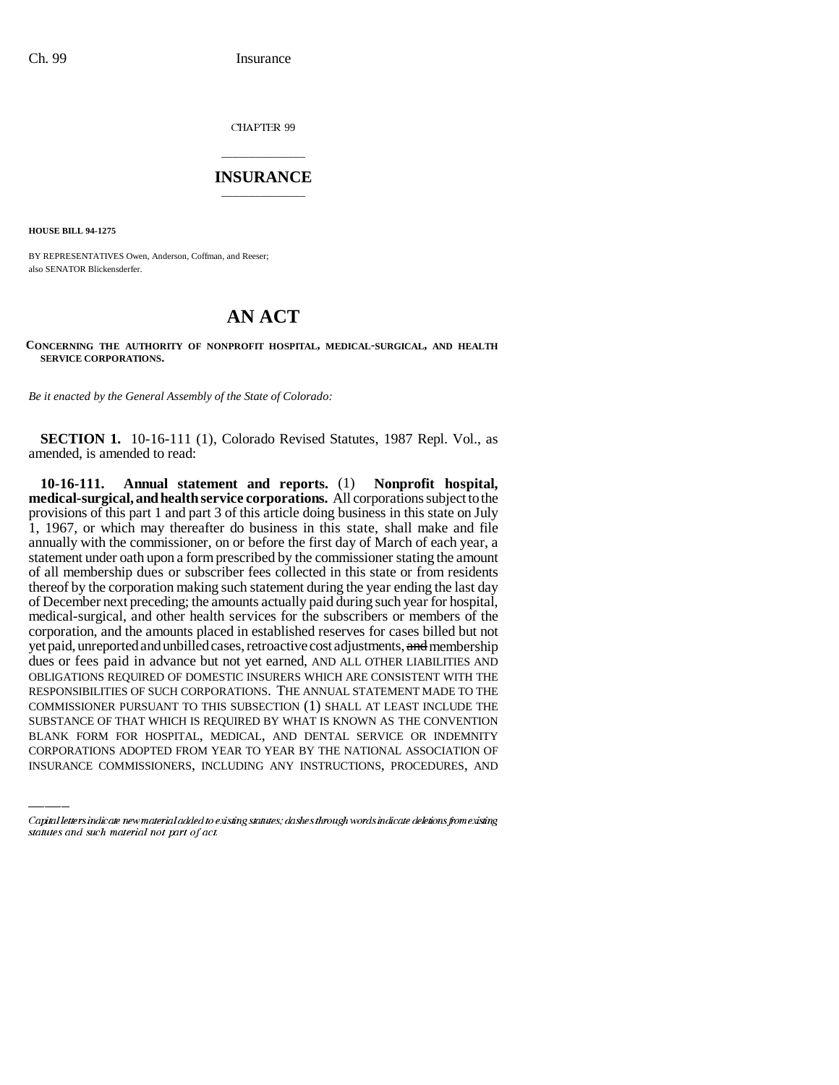CHAPTER 99

## \_\_\_\_\_\_\_\_\_\_\_\_\_\_\_ **INSURANCE** \_\_\_\_\_\_\_\_\_\_\_\_\_\_\_

**HOUSE BILL 94-1275**

BY REPRESENTATIVES Owen, Anderson, Coffman, and Reeser; also SENATOR Blickensderfer.

# **AN ACT**

### **CONCERNING THE AUTHORITY OF NONPROFIT HOSPITAL, MEDICAL-SURGICAL, AND HEALTH SERVICE CORPORATIONS.**

*Be it enacted by the General Assembly of the State of Colorado:*

**SECTION 1.** 10-16-111 (1), Colorado Revised Statutes, 1987 Repl. Vol., as amended, is amended to read:

COMMISSIONER PURSUANT TO THIS SUBSECTION (1) SHALL AT LEAST INCLUDE THE **10-16-111. Annual statement and reports.** (1) **Nonprofit hospital, medical-surgical, and health service corporations.** All corporations subject to the provisions of this part 1 and part 3 of this article doing business in this state on July 1, 1967, or which may thereafter do business in this state, shall make and file annually with the commissioner, on or before the first day of March of each year, a statement under oath upon a form prescribed by the commissioner stating the amount of all membership dues or subscriber fees collected in this state or from residents thereof by the corporation making such statement during the year ending the last day of December next preceding; the amounts actually paid during such year for hospital, medical-surgical, and other health services for the subscribers or members of the corporation, and the amounts placed in established reserves for cases billed but not yet paid, unreported and unbilled cases, retroactive cost adjustments, and membership dues or fees paid in advance but not yet earned, AND ALL OTHER LIABILITIES AND OBLIGATIONS REQUIRED OF DOMESTIC INSURERS WHICH ARE CONSISTENT WITH THE RESPONSIBILITIES OF SUCH CORPORATIONS. THE ANNUAL STATEMENT MADE TO THE SUBSTANCE OF THAT WHICH IS REQUIRED BY WHAT IS KNOWN AS THE CONVENTION BLANK FORM FOR HOSPITAL, MEDICAL, AND DENTAL SERVICE OR INDEMNITY CORPORATIONS ADOPTED FROM YEAR TO YEAR BY THE NATIONAL ASSOCIATION OF INSURANCE COMMISSIONERS, INCLUDING ANY INSTRUCTIONS, PROCEDURES, AND

Capital letters indicate new material added to existing statutes; dashes through words indicate deletions from existing statutes and such material not part of act.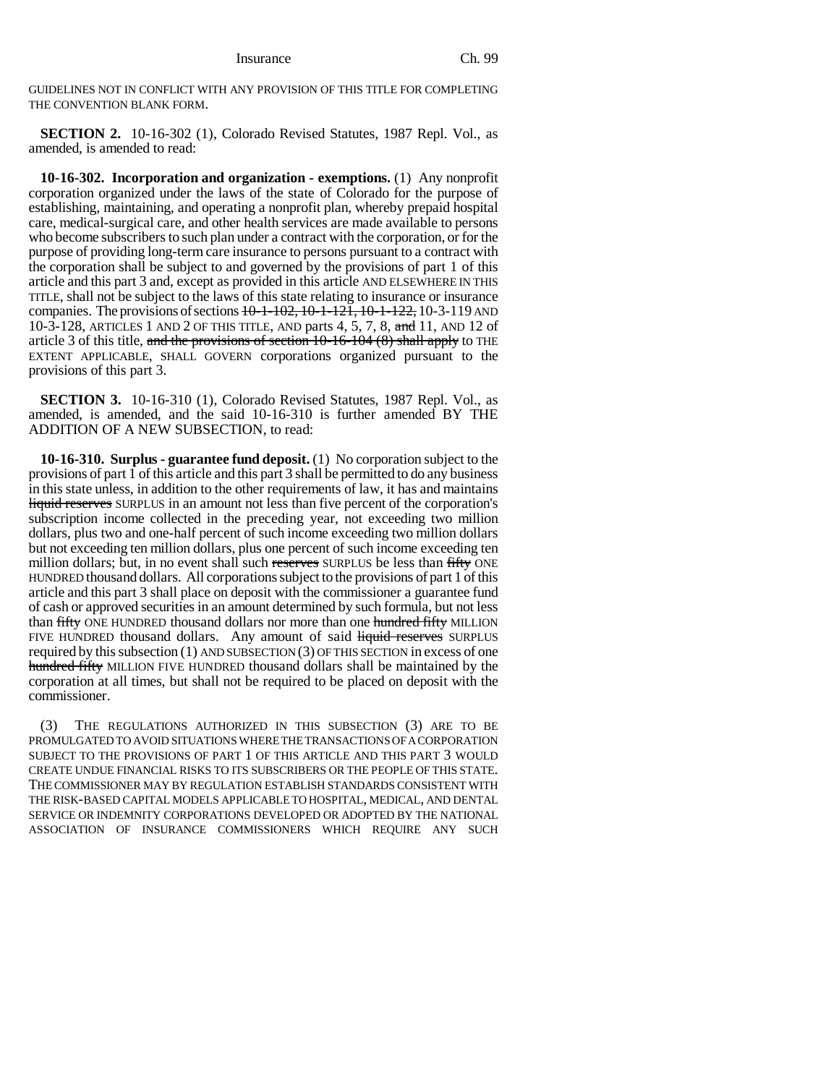GUIDELINES NOT IN CONFLICT WITH ANY PROVISION OF THIS TITLE FOR COMPLETING THE CONVENTION BLANK FORM.

**SECTION 2.** 10-16-302 (1), Colorado Revised Statutes, 1987 Repl. Vol., as amended, is amended to read:

**10-16-302. Incorporation and organization - exemptions.** (1) Any nonprofit corporation organized under the laws of the state of Colorado for the purpose of establishing, maintaining, and operating a nonprofit plan, whereby prepaid hospital care, medical-surgical care, and other health services are made available to persons who become subscribers to such plan under a contract with the corporation, or for the purpose of providing long-term care insurance to persons pursuant to a contract with the corporation shall be subject to and governed by the provisions of part 1 of this article and this part 3 and, except as provided in this article AND ELSEWHERE IN THIS TITLE, shall not be subject to the laws of this state relating to insurance or insurance companies. The provisions of sections  $10-1-102$ ,  $10-1-121$ ,  $10-1-122$ ,  $10-3-119$  AND 10-3-128, ARTICLES 1 AND 2 OF THIS TITLE, AND parts 4, 5, 7, 8, and 11, AND 12 of article 3 of this title, and the provisions of section  $10-16-104$  (8) shall apply to THE EXTENT APPLICABLE, SHALL GOVERN corporations organized pursuant to the provisions of this part 3.

**SECTION 3.** 10-16-310 (1), Colorado Revised Statutes, 1987 Repl. Vol., as amended, is amended, and the said 10-16-310 is further amended BY THE ADDITION OF A NEW SUBSECTION, to read:

**10-16-310. Surplus - guarantee fund deposit.** (1) No corporation subject to the provisions of part  $1$  of this article and this part  $3$  shall be permitted to do any business in this state unless, in addition to the other requirements of law, it has and maintains liquid reserves SURPLUS in an amount not less than five percent of the corporation's subscription income collected in the preceding year, not exceeding two million dollars, plus two and one-half percent of such income exceeding two million dollars but not exceeding ten million dollars, plus one percent of such income exceeding ten million dollars; but, in no event shall such reserves SURPLUS be less than fifty ONE HUNDRED thousand dollars. All corporations subject to the provisions of part 1 of this article and this part 3 shall place on deposit with the commissioner a guarantee fund of cash or approved securities in an amount determined by such formula, but not less than fifty ONE HUNDRED thousand dollars nor more than one hundred fifty MILLION FIVE HUNDRED thousand dollars. Any amount of said liquid reserves SURPLUS required by this subsection  $(1)$  AND SUBSECTION  $(3)$  OF THIS SECTION in excess of one hundred fifty MILLION FIVE HUNDRED thousand dollars shall be maintained by the corporation at all times, but shall not be required to be placed on deposit with the commissioner.

(3) THE REGULATIONS AUTHORIZED IN THIS SUBSECTION (3) ARE TO BE PROMULGATED TO AVOID SITUATIONS WHERE THE TRANSACTIONS OF A CORPORATION SUBJECT TO THE PROVISIONS OF PART 1 OF THIS ARTICLE AND THIS PART 3 WOULD CREATE UNDUE FINANCIAL RISKS TO ITS SUBSCRIBERS OR THE PEOPLE OF THIS STATE. THE COMMISSIONER MAY BY REGULATION ESTABLISH STANDARDS CONSISTENT WITH THE RISK-BASED CAPITAL MODELS APPLICABLE TO HOSPITAL, MEDICAL, AND DENTAL SERVICE OR INDEMNITY CORPORATIONS DEVELOPED OR ADOPTED BY THE NATIONAL ASSOCIATION OF INSURANCE COMMISSIONERS WHICH REQUIRE ANY SUCH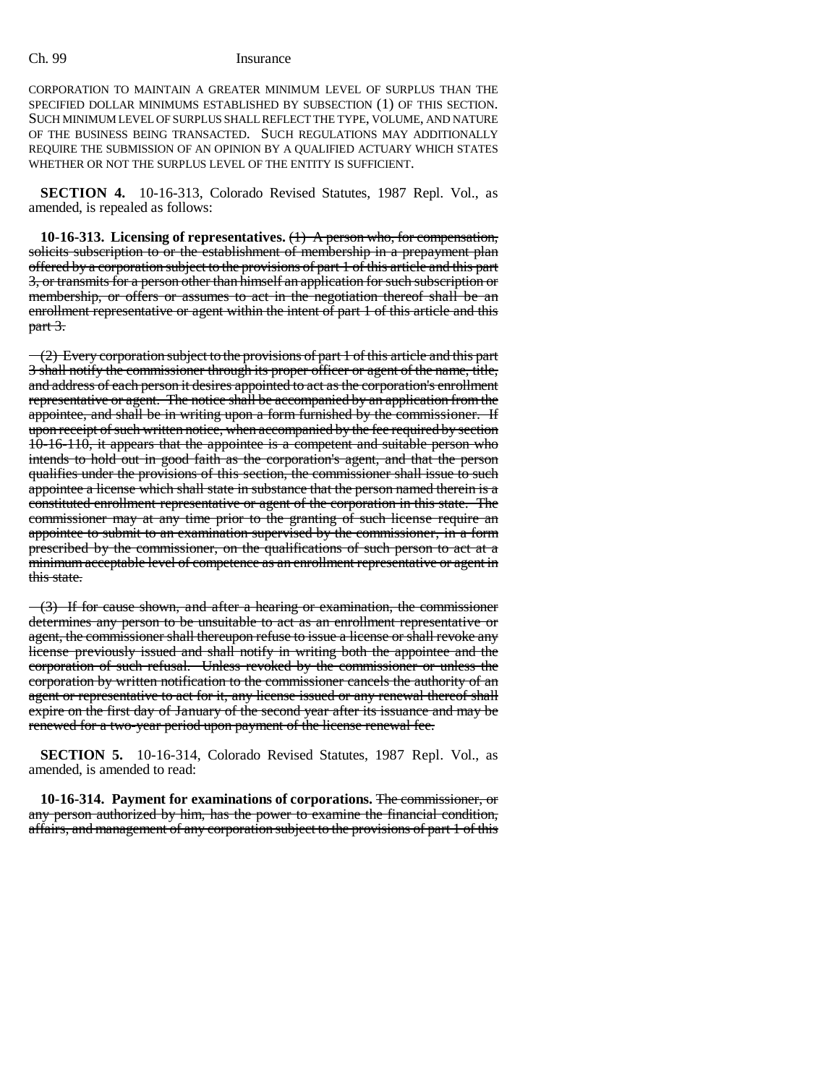### Ch. 99 Insurance

CORPORATION TO MAINTAIN A GREATER MINIMUM LEVEL OF SURPLUS THAN THE SPECIFIED DOLLAR MINIMUMS ESTABLISHED BY SUBSECTION (1) OF THIS SECTION. SUCH MINIMUM LEVEL OF SURPLUS SHALL REFLECT THE TYPE, VOLUME, AND NATURE OF THE BUSINESS BEING TRANSACTED. SUCH REGULATIONS MAY ADDITIONALLY REQUIRE THE SUBMISSION OF AN OPINION BY A QUALIFIED ACTUARY WHICH STATES WHETHER OR NOT THE SURPLUS LEVEL OF THE ENTITY IS SUFFICIENT.

**SECTION 4.** 10-16-313, Colorado Revised Statutes, 1987 Repl. Vol., as amended, is repealed as follows:

**10-16-313. Licensing of representatives.** (1) A person who, for compensation, solicits subscription to or the establishment of membership in a prepayment plan offered by a corporation subject to the provisions of part 1 of this article and this part 3, or transmits for a person other than himself an application for such subscription or membership, or offers or assumes to act in the negotiation thereof shall be an enrollment representative or agent within the intent of part 1 of this article and this part 3.

 $\sim$  (2) Every corporation subject to the provisions of part 1 of this article and this part 3 shall notify the commissioner through its proper officer or agent of the name, title, and address of each person it desires appointed to act as the corporation's enrollment representative or agent. The notice shall be accompanied by an application from the appointee, and shall be in writing upon a form furnished by the commissioner. If upon receipt of such written notice, when accompanied by the fee required by section 10-16-110, it appears that the appointee is a competent and suitable person who intends to hold out in good faith as the corporation's agent, and that the person qualifies under the provisions of this section, the commissioner shall issue to such appointee a license which shall state in substance that the person named therein is a constituted enrollment representative or agent of the corporation in this state. The commissioner may at any time prior to the granting of such license require an appointee to submit to an examination supervised by the commissioner, in a form prescribed by the commissioner, on the qualifications of such person to act at a minimum acceptable level of competence as an enrollment representative or agent in this state.

 $-(3)$  If for cause shown, and after a hearing or examination, the commissioner determines any person to be unsuitable to act as an enrollment representative or agent, the commissioner shall thereupon refuse to issue a license or shall revoke any license previously issued and shall notify in writing both the appointee and the corporation of such refusal. Unless revoked by the commissioner or unless the corporation by written notification to the commissioner cancels the authority of an agent or representative to act for it, any license issued or any renewal thereof shall expire on the first day of January of the second year after its issuance and may be renewed for a two-year period upon payment of the license renewal fee.

**SECTION 5.** 10-16-314, Colorado Revised Statutes, 1987 Repl. Vol., as amended, is amended to read:

**10-16-314. Payment for examinations of corporations.** The commissioner, or any person authorized by him, has the power to examine the financial condition, affairs, and management of any corporation subject to the provisions of part 1 of this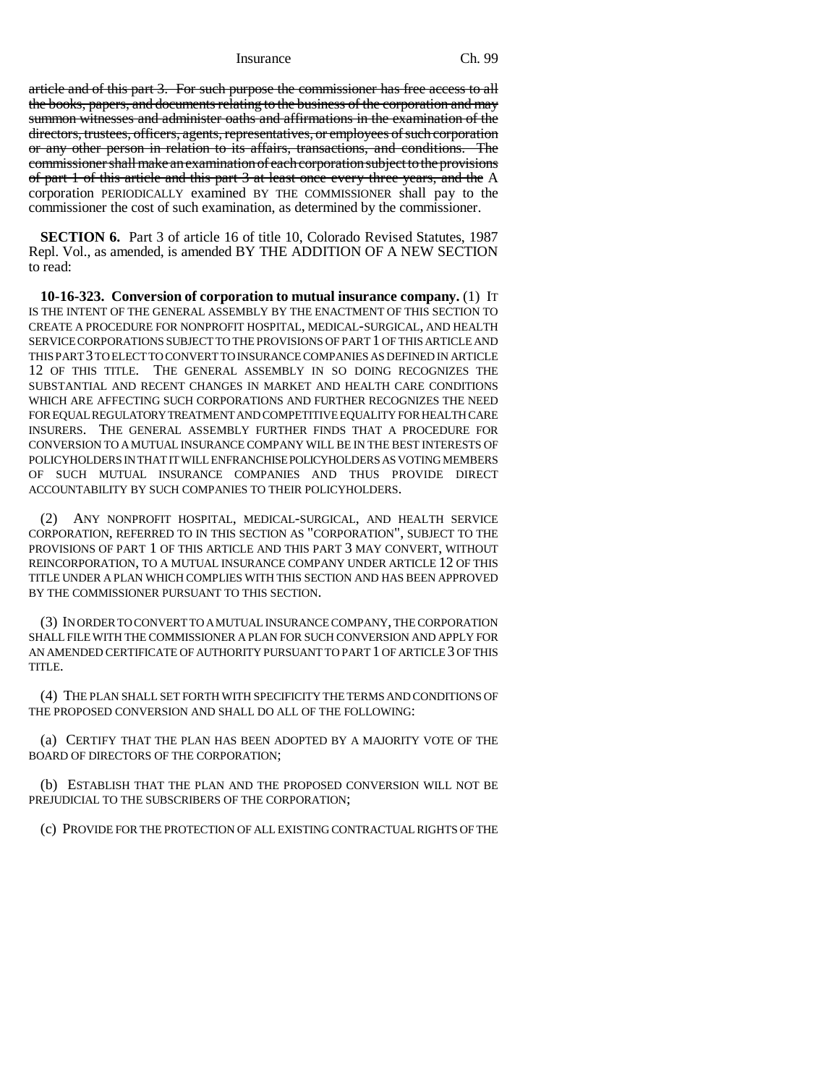Insurance Ch. 99

article and of this part 3. For such purpose the commissioner has free access to all the books, papers, and documents relating to the business of the corporation and may summon witnesses and administer oaths and affirmations in the examination of the directors, trustees, officers, agents, representatives, or employees of such corporation or any other person in relation to its affairs, transactions, and conditions. The commissioner shall make an examination of each corporation subject to the provisions of part 1 of this article and this part 3 at least once every three years, and the A corporation PERIODICALLY examined BY THE COMMISSIONER shall pay to the commissioner the cost of such examination, as determined by the commissioner.

**SECTION 6.** Part 3 of article 16 of title 10, Colorado Revised Statutes, 1987 Repl. Vol., as amended, is amended BY THE ADDITION OF A NEW SECTION to read:

**10-16-323. Conversion of corporation to mutual insurance company.** (1) IT IS THE INTENT OF THE GENERAL ASSEMBLY BY THE ENACTMENT OF THIS SECTION TO CREATE A PROCEDURE FOR NONPROFIT HOSPITAL, MEDICAL-SURGICAL, AND HEALTH SERVICE CORPORATIONS SUBJECT TO THE PROVISIONS OF PART 1 OF THIS ARTICLE AND THIS PART 3 TO ELECT TO CONVERT TO INSURANCE COMPANIES AS DEFINED IN ARTICLE 12 OF THIS TITLE. THE GENERAL ASSEMBLY IN SO DOING RECOGNIZES THE SUBSTANTIAL AND RECENT CHANGES IN MARKET AND HEALTH CARE CONDITIONS WHICH ARE AFFECTING SUCH CORPORATIONS AND FURTHER RECOGNIZES THE NEED FOR EQUAL REGULATORY TREATMENT AND COMPETITIVE EQUALITY FOR HEALTH CARE INSURERS. THE GENERAL ASSEMBLY FURTHER FINDS THAT A PROCEDURE FOR CONVERSION TO A MUTUAL INSURANCE COMPANY WILL BE IN THE BEST INTERESTS OF POLICYHOLDERS IN THAT IT WILL ENFRANCHISE POLICYHOLDERS AS VOTING MEMBERS OF SUCH MUTUAL INSURANCE COMPANIES AND THUS PROVIDE DIRECT ACCOUNTABILITY BY SUCH COMPANIES TO THEIR POLICYHOLDERS.

(2) ANY NONPROFIT HOSPITAL, MEDICAL-SURGICAL, AND HEALTH SERVICE CORPORATION, REFERRED TO IN THIS SECTION AS "CORPORATION", SUBJECT TO THE PROVISIONS OF PART 1 OF THIS ARTICLE AND THIS PART 3 MAY CONVERT, WITHOUT REINCORPORATION, TO A MUTUAL INSURANCE COMPANY UNDER ARTICLE 12 OF THIS TITLE UNDER A PLAN WHICH COMPLIES WITH THIS SECTION AND HAS BEEN APPROVED BY THE COMMISSIONER PURSUANT TO THIS SECTION.

(3) IN ORDER TO CONVERT TO A MUTUAL INSURANCE COMPANY, THE CORPORATION SHALL FILE WITH THE COMMISSIONER A PLAN FOR SUCH CONVERSION AND APPLY FOR AN AMENDED CERTIFICATE OF AUTHORITY PURSUANT TO PART 1 OF ARTICLE 3 OF THIS TITLE.

(4) THE PLAN SHALL SET FORTH WITH SPECIFICITY THE TERMS AND CONDITIONS OF THE PROPOSED CONVERSION AND SHALL DO ALL OF THE FOLLOWING:

(a) CERTIFY THAT THE PLAN HAS BEEN ADOPTED BY A MAJORITY VOTE OF THE BOARD OF DIRECTORS OF THE CORPORATION;

(b) ESTABLISH THAT THE PLAN AND THE PROPOSED CONVERSION WILL NOT BE PREJUDICIAL TO THE SUBSCRIBERS OF THE CORPORATION;

(c) PROVIDE FOR THE PROTECTION OF ALL EXISTING CONTRACTUAL RIGHTS OF THE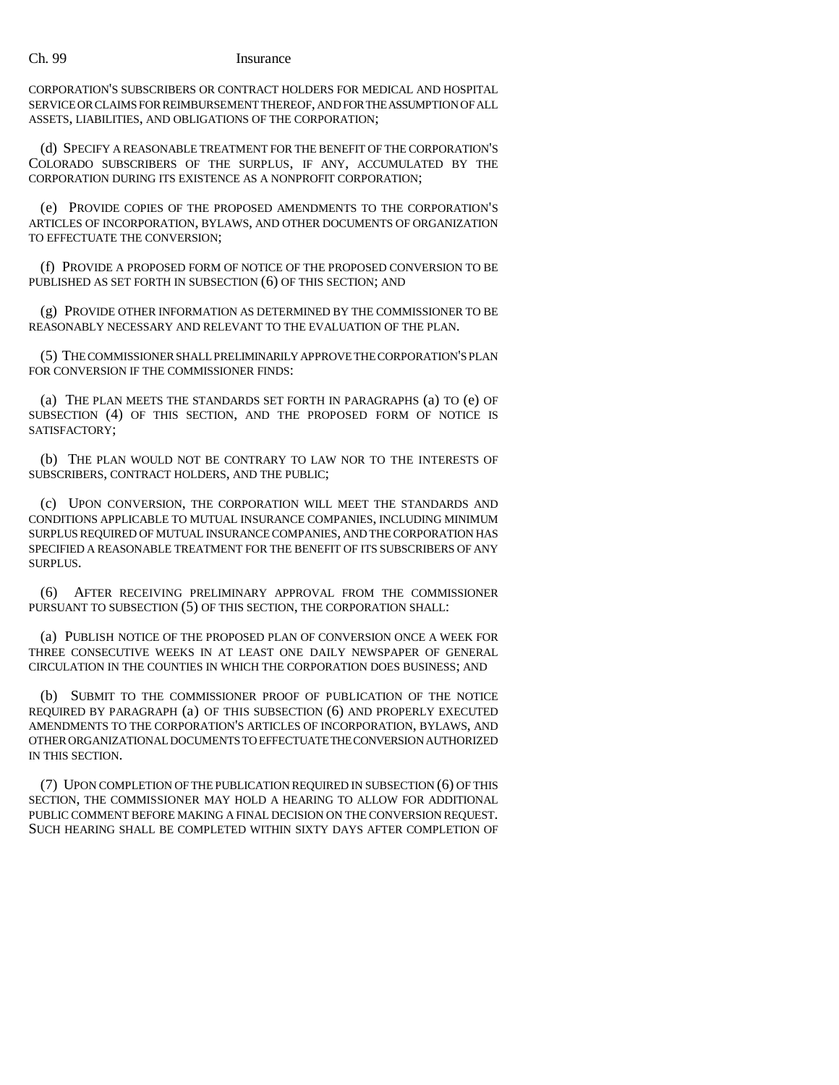### Ch. 99 Insurance

CORPORATION'S SUBSCRIBERS OR CONTRACT HOLDERS FOR MEDICAL AND HOSPITAL SERVICE OR CLAIMS FOR REIMBURSEMENT THEREOF, AND FOR THE ASSUMPTION OF ALL ASSETS, LIABILITIES, AND OBLIGATIONS OF THE CORPORATION;

(d) SPECIFY A REASONABLE TREATMENT FOR THE BENEFIT OF THE CORPORATION'S COLORADO SUBSCRIBERS OF THE SURPLUS, IF ANY, ACCUMULATED BY THE CORPORATION DURING ITS EXISTENCE AS A NONPROFIT CORPORATION;

(e) PROVIDE COPIES OF THE PROPOSED AMENDMENTS TO THE CORPORATION'S ARTICLES OF INCORPORATION, BYLAWS, AND OTHER DOCUMENTS OF ORGANIZATION TO EFFECTUATE THE CONVERSION;

(f) PROVIDE A PROPOSED FORM OF NOTICE OF THE PROPOSED CONVERSION TO BE PUBLISHED AS SET FORTH IN SUBSECTION (6) OF THIS SECTION; AND

(g) PROVIDE OTHER INFORMATION AS DETERMINED BY THE COMMISSIONER TO BE REASONABLY NECESSARY AND RELEVANT TO THE EVALUATION OF THE PLAN.

(5) THE COMMISSIONER SHALL PRELIMINARILY APPROVE THE CORPORATION'S PLAN FOR CONVERSION IF THE COMMISSIONER FINDS:

(a) THE PLAN MEETS THE STANDARDS SET FORTH IN PARAGRAPHS (a) TO (e) OF SUBSECTION (4) OF THIS SECTION, AND THE PROPOSED FORM OF NOTICE IS SATISFACTORY;

(b) THE PLAN WOULD NOT BE CONTRARY TO LAW NOR TO THE INTERESTS OF SUBSCRIBERS, CONTRACT HOLDERS, AND THE PUBLIC;

(c) UPON CONVERSION, THE CORPORATION WILL MEET THE STANDARDS AND CONDITIONS APPLICABLE TO MUTUAL INSURANCE COMPANIES, INCLUDING MINIMUM SURPLUS REQUIRED OF MUTUAL INSURANCE COMPANIES, AND THE CORPORATION HAS SPECIFIED A REASONABLE TREATMENT FOR THE BENEFIT OF ITS SUBSCRIBERS OF ANY SURPLUS.

(6) AFTER RECEIVING PRELIMINARY APPROVAL FROM THE COMMISSIONER PURSUANT TO SUBSECTION (5) OF THIS SECTION, THE CORPORATION SHALL:

(a) PUBLISH NOTICE OF THE PROPOSED PLAN OF CONVERSION ONCE A WEEK FOR THREE CONSECUTIVE WEEKS IN AT LEAST ONE DAILY NEWSPAPER OF GENERAL CIRCULATION IN THE COUNTIES IN WHICH THE CORPORATION DOES BUSINESS; AND

(b) SUBMIT TO THE COMMISSIONER PROOF OF PUBLICATION OF THE NOTICE REQUIRED BY PARAGRAPH (a) OF THIS SUBSECTION (6) AND PROPERLY EXECUTED AMENDMENTS TO THE CORPORATION'S ARTICLES OF INCORPORATION, BYLAWS, AND OTHER ORGANIZATIONAL DOCUMENTS TO EFFECTUATE THE CONVERSION AUTHORIZED IN THIS SECTION.

(7) UPON COMPLETION OF THE PUBLICATION REQUIRED IN SUBSECTION (6) OF THIS SECTION, THE COMMISSIONER MAY HOLD A HEARING TO ALLOW FOR ADDITIONAL PUBLIC COMMENT BEFORE MAKING A FINAL DECISION ON THE CONVERSION REQUEST. SUCH HEARING SHALL BE COMPLETED WITHIN SIXTY DAYS AFTER COMPLETION OF